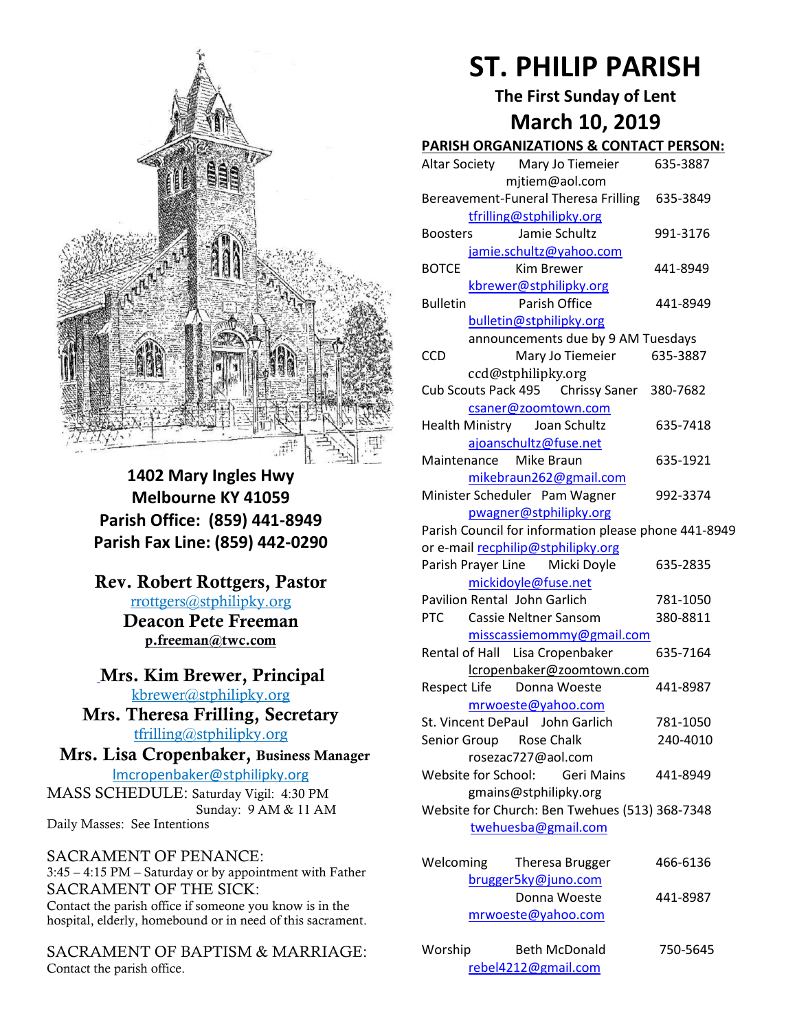

**1402 Mary Ingles Hwy Melbourne KY 41059 Parish Office: (859) 441-8949 Parish Fax Line: (859) 442-0290**

**Rev. Robert Rottgers, Pastor**  [rrottgers@stphilipky.org](mailto:rrottgers@stphilipky.org) **Deacon Pete Freeman p.freeman@twc.com**

**Mrs. Kim Brewer, Principal**  [kbrewer@stphilipky.org](mailto:kbrewer@stphilipky.org) **Mrs. Theresa Frilling, Secretary** 

[tfrilling@stphilipky.org](mailto:tfrilling@stphilipky.org)

 **Mrs. Lisa Cropenbaker, Business Manager** lmcropenbaker@stphilipky.org

MASS SCHEDULE: Saturday Vigil: 4:30 PM Sunday: 9 AM & 11 AM Daily Masses: See Intentions

SACRAMENT OF PENANCE: 3:45 – 4:15 PM – Saturday or by appointment with Father SACRAMENT OF THE SICK: Contact the parish office if someone you know is in the hospital, elderly, homebound or in need of this sacrament.

SACRAMENT OF BAPTISM & MARRIAGE: Contact the parish office.

# **ST. PHILIP PARISH**

**The First Sunday of Lent March 10, 2019** 

## **PARISH ORGANIZATIONS & CONTACT PERSON:**

|                     |                              |                   | <u>FANDH UNGANIZATIONS &amp; CONTACT FENSON.</u>     |                                    |
|---------------------|------------------------------|-------------------|------------------------------------------------------|------------------------------------|
|                     |                              |                   | Altar Society Mary Jo Tiemeier                       | 635-3887                           |
|                     |                              |                   | mjtiem@aol.com                                       |                                    |
|                     |                              |                   | Bereavement-Funeral Theresa Frilling                 | 635-3849                           |
|                     |                              |                   | tfrilling@stphilipky.org                             |                                    |
| <b>Boosters</b>     |                              |                   | Jamie Schultz                                        | 991-3176                           |
|                     |                              |                   | jamie.schultz@yahoo.com                              |                                    |
| <b>BOTCE</b>        |                              | <b>Kim Brewer</b> |                                                      | 441-8949                           |
|                     |                              |                   | kbrewer@stphilipky.org                               |                                    |
| <b>Bulletin</b>     |                              |                   | Parish Office                                        | 441-8949                           |
|                     |                              |                   | bulletin@stphilipky.org                              |                                    |
|                     |                              |                   | announcements due by 9 AM Tuesdays                   |                                    |
| <b>CCD</b>          |                              |                   | Mary Jo Tiemeier                                     | 635-3887                           |
|                     | ccd@stphilipky.org           |                   |                                                      |                                    |
|                     |                              |                   | Cub Scouts Pack 495 Chrissy Saner 380-7682           |                                    |
|                     |                              |                   | csaner@zoomtown.com                                  |                                    |
|                     |                              |                   | Health Ministry Joan Schultz                         | 635-7418                           |
|                     |                              |                   | ajoanschultz@fuse.net                                |                                    |
|                     | Maintenance Mike Braun       |                   |                                                      | 635-1921                           |
|                     |                              |                   | mikebraun262@gmail.com                               |                                    |
|                     |                              |                   | Minister Scheduler Pam Wagner                        | 992-3374                           |
|                     |                              |                   | pwagner@stphilipky.org                               |                                    |
|                     |                              |                   | Parish Council for information please phone 441-8949 |                                    |
|                     |                              |                   | or e-mail recphilip@stphilipky.org                   |                                    |
|                     |                              |                   | Parish Prayer Line Micki Doyle                       | 635-2835                           |
|                     | mickidoyle@fuse.net          |                   |                                                      |                                    |
|                     | Pavilion Rental John Garlich |                   |                                                      | 781-1050                           |
| <b>PTC</b>          |                              |                   | <b>Cassie Neltner Sansom</b>                         | 380-8811                           |
|                     |                              |                   | misscassiemommy@gmail.com                            |                                    |
|                     |                              |                   | Rental of Hall Lisa Cropenbaker                      | 635-7164                           |
|                     |                              |                   | lcropenbaker@zoomtown.com                            |                                    |
| <b>Respect Life</b> |                              |                   | Donna Woeste                                         | 441-8987                           |
|                     |                              |                   | mrwoeste@yahoo.com                                   |                                    |
|                     |                              |                   | St. Vincent DePaul John Garlich                      | 781-1050                           |
|                     | Senior Group Rose Chalk      |                   |                                                      | 240-4010                           |
|                     | rosezac727@aol.com           |                   |                                                      |                                    |
| Website for School: |                              |                   | <b>Geri Mains</b>                                    | 441-8949                           |
|                     |                              |                   | gmains@stphilipky.org                                |                                    |
|                     |                              |                   | Website for Church: Ben Twehues (513) 368-7348       |                                    |
|                     |                              |                   | twehuesba@gmail.com                                  |                                    |
|                     |                              |                   |                                                      |                                    |
| Welcoming           |                              |                   | Theresa Brugger                                      | 466-6136                           |
|                     |                              |                   | brugger5ky@juno.com                                  |                                    |
|                     |                              |                   | Donna Woeste                                         | 441-8987                           |
|                     |                              |                   |                                                      |                                    |
|                     |                              |                   | mrwoeste@yahoo.com                                   |                                    |
|                     |                              |                   | Doth McDonald                                        | 7F <sub>O</sub> F <sub>C</sub> A F |

| Worship             | <b>Beth McDonald</b> | 750-5645 |
|---------------------|----------------------|----------|
| rebel4212@gmail.com |                      |          |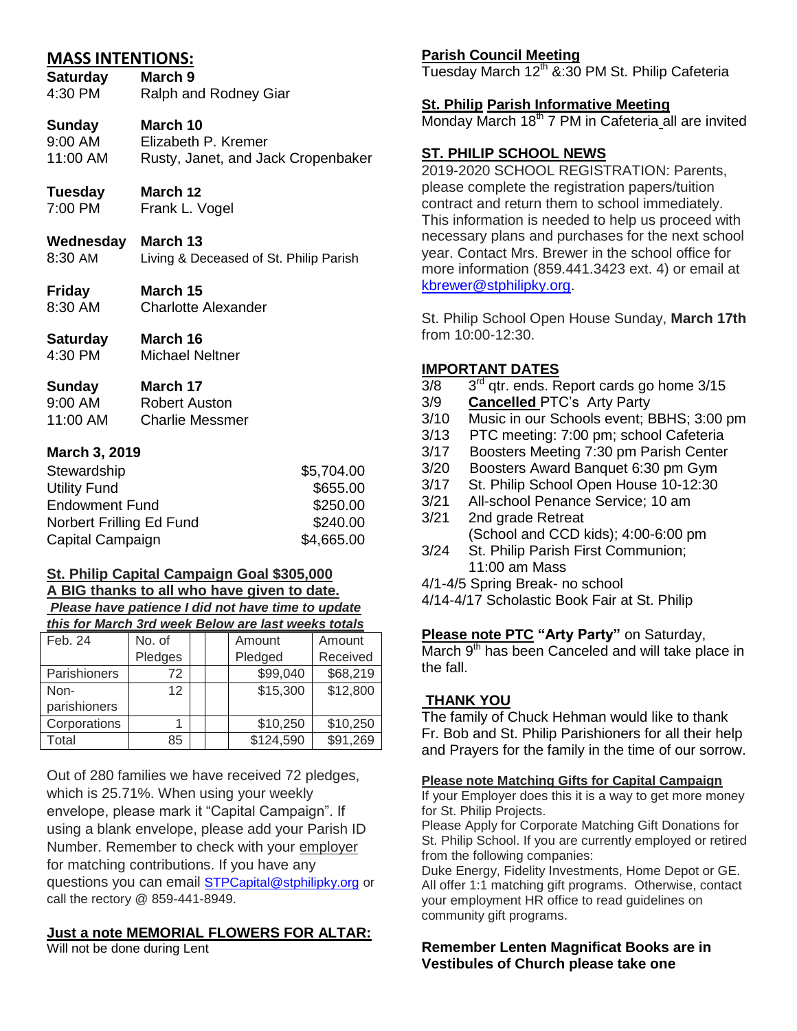## **MASS INTENTIONS:**

**Saturday March 9** 4:30 PM Ralph and Rodney Giar

## **Sunday March 10**

9:00 AM Elizabeth P. Kremer<br>11:00 AM Rusty. Janet. and Ja Rusty, Janet, and Jack Cropenbaker

## **Tuesday March 12**

7:00 PM Frank L. Vogel

## **Wednesday March 13**

- 8:30 AM Living & Deceased of St. Philip Parish
- **Friday March 15** 8:30 AM Charlotte Alexander
- **Saturday March 16**
- 4:30 PM Michael Neltner

## **Sunday March 17**

| 9:00 AM  | Robert Auston          |
|----------|------------------------|
| 11:00 AM | <b>Charlie Messmer</b> |

## **March 3, 2019**

| Stewardship              | \$5,704.00 |
|--------------------------|------------|
| <b>Utility Fund</b>      | \$655.00   |
| <b>Endowment Fund</b>    | \$250.00   |
| Norbert Frilling Ed Fund | \$240.00   |
| Capital Campaign         | \$4,665.00 |

## **St. Philip Capital Campaign Goal \$305,000 A BIG thanks to all who have given to date.**

#### *Please have patience I did not have time to update this for March 3rd week Below are last weeks totals*

| Feb. 24      | No. of  | Amount |  | Amount    |          |  |
|--------------|---------|--------|--|-----------|----------|--|
|              | Pledges |        |  | Pledged   | Received |  |
| Parishioners | 72      |        |  | \$99,040  | \$68,219 |  |
| Non-         | 12      |        |  | \$15,300  | \$12,800 |  |
| parishioners |         |        |  |           |          |  |
| Corporations |         |        |  | \$10,250  | \$10,250 |  |
| Total        | 85      |        |  | \$124,590 | \$91,269 |  |

Out of 280 families we have received 72 pledges, which is 25.71%. When using your weekly envelope, please mark it "Capital Campaign". If using a blank envelope, please add your Parish ID Number. Remember to check with your employer for matching contributions. If you have any questions you can email [STPCapital@stphilipky.org](mailto:STPCapital@stphilipky.org) or call the rectory @ 859-441-8949.

## **Just a note MEMORIAL FLOWERS FOR ALTAR:**

Will not be done during Lent

## **Parish Council Meeting**

Tuesday March  $12<sup>th</sup>$  &:30 PM St. Philip Cafeteria

### **St. Philip Parish Informative Meeting**

Monday March 18<sup>th</sup> 7 PM in Cafeteria all are invited

## **ST. PHILIP SCHOOL NEWS**

2019-2020 SCHOOL REGISTRATION: Parents, please complete the registration papers/tuition contract and return them to school immediately. This information is needed to help us proceed with necessary plans and purchases for the next school year. Contact Mrs. Brewer in the school office for more information (859.441.3423 ext. 4) or email at [kbrewer@stphilipky.org.](mailto:kbrewer@stphilipky.org)

St. Philip School Open House Sunday, **March 17th** from 10:00-12:30.

## **IMPORTANT DATES**

- $3/8$  $3<sup>rd</sup>$  qtr. ends. Report cards go home  $3/15$
- 3/9 **Cancelled** PTC's Arty Party
- 3/10 Music in our Schools event; BBHS; 3:00 pm
- 3/13 PTC meeting: 7:00 pm; school Cafeteria
- 3/17 Boosters Meeting 7:30 pm Parish Center
- 3/20 Boosters Award Banquet 6:30 pm Gym
- 3/17 St. Philip School Open House 10-12:30
- 3/21 All-school Penance Service; 10 am
- 3/21 2nd grade Retreat (School and CCD kids); 4:00-6:00 pm
- 3/24 St. Philip Parish First Communion; 11:00 am Mass
- 4/1-4/5 Spring Break- no school
- 4/14-4/17 Scholastic Book Fair at St. Philip

#### **Please note PTC "Arty Party"** on Saturday,

March  $9<sup>th</sup>$  has been Canceled and will take place in the fall.

## **THANK YOU**

The family of Chuck Hehman would like to thank Fr. Bob and St. Philip Parishioners for all their help and Prayers for the family in the time of our sorrow.

#### **Please note Matching Gifts for Capital Campaign**

If your Employer does this it is a way to get more money for St. Philip Projects.

Please Apply for Corporate Matching Gift Donations for St. Philip School. If you are currently employed or retired from the following companies:

Duke Energy, Fidelity Investments, Home Depot or GE. All offer 1:1 matching gift programs. Otherwise, contact your employment HR office to read guidelines on community gift programs.

#### **Remember Lenten Magnificat Books are in Vestibules of Church please take one**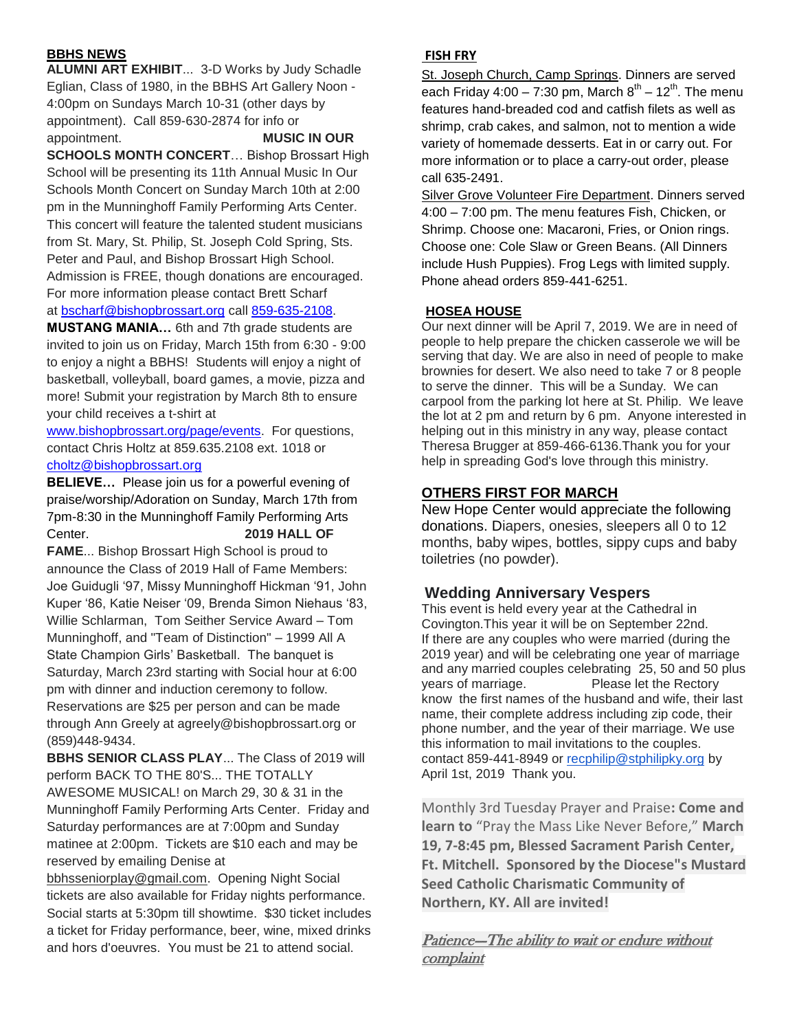#### **BBHS NEWS**

**ALUMNI ART EXHIBIT**... 3-D Works by Judy Schadle Eglian, Class of 1980, in the BBHS Art Gallery Noon - 4:00pm on Sundays March 10-31 (other days by appointment). Call 859-630-2874 for info or appointment. **MUSIC IN OUR** 

**SCHOOLS MONTH CONCERT**… Bishop Brossart High School will be presenting its 11th Annual Music In Our Schools Month Concert on Sunday March 10th at 2:00 pm in the Munninghoff Family Performing Arts Center. This concert will feature the talented student musicians from St. Mary, St. Philip, St. Joseph Cold Spring, Sts. Peter and Paul, and Bishop Brossart High School. Admission is FREE, though donations are encouraged. For more information please contact Brett Scharf at [bscharf@bishopbrossart.org](mailto:bscharf@bishopbrossart.org) call [859-635-2108.](tel:(859)%20635-2108)

**MUSTANG MANIA…** 6th and 7th grade students are invited to join us on Friday, March 15th from 6:30 - 9:00 to enjoy a night a BBHS! Students will enjoy a night of basketball, volleyball, board games, a movie, pizza and more! Submit your registration by March 8th to ensure your child receives a t-shirt at

[www.bishopbrossart.org/page/events.](http://www.bishopbrossart.org/page/events) For questions, contact Chris Holtz at 859.635.2108 ext. 1018 or [choltz@bishopbrossart.org](mailto:choltz@bishopbrossart.org) 

**BELIEVE…** Please join us for a powerful evening of praise/worship/Adoration on Sunday, March 17th from 7pm-8:30 in the Munninghoff Family Performing Arts Center. **2019 HALL OF** 

**FAME**... Bishop Brossart High School is proud to announce the Class of 2019 Hall of Fame Members: Joe Guidugli '97, Missy Munninghoff Hickman '91, John Kuper '86, Katie Neiser '09, Brenda Simon Niehaus '83, Willie Schlarman, Tom Seither Service Award – Tom Munninghoff, and "Team of Distinction" – 1999 All A State Champion Girls' Basketball. The banquet is Saturday, March 23rd starting with Social hour at 6:00 pm with dinner and induction ceremony to follow. Reservations are \$25 per person and can be made through Ann Greely at agreely@bishopbrossart.org or (859)448-9434.

**BBHS SENIOR CLASS PLAY**... The Class of 2019 will perform BACK TO THE 80'S... THE TOTALLY AWESOME MUSICAL! on March 29, 30 & 31 in the Munninghoff Family Performing Arts Center. Friday and Saturday performances are at 7:00pm and Sunday matinee at 2:00pm. Tickets are \$10 each and may be reserved by emailing Denise at

bbhsseniorplay@gmail.com. Opening Night Social tickets are also available for Friday nights performance. Social starts at 5:30pm till showtime. \$30 ticket includes a ticket for Friday performance, beer, wine, mixed drinks and hors d'oeuvres. You must be 21 to attend social.

#### **FISH FRY**

St. Joseph Church, Camp Springs. Dinners are served each Friday 4:00 – 7:30 pm, March  $8^{\text{th}}$  – 12 $^{\text{th}}$ . The menu features hand-breaded cod and catfish filets as well as shrimp, crab cakes, and salmon, not to mention a wide variety of homemade desserts. Eat in or carry out. For more information or to place a carry-out order, please call 635-2491.

Silver Grove Volunteer Fire Department. Dinners served 4:00 – 7:00 pm. The menu features Fish, Chicken, or Shrimp. Choose one: Macaroni, Fries, or Onion rings. Choose one: Cole Slaw or Green Beans. (All Dinners include Hush Puppies). Frog Legs with limited supply. Phone ahead orders 859-441-6251.

#### **HOSEA HOUSE**

Our next dinner will be April 7, 2019. We are in need of people to help prepare the chicken casserole we will be serving that day. We are also in need of people to make brownies for desert. We also need to take 7 or 8 people to serve the dinner. This will be a Sunday. We can carpool from the parking lot here at St. Philip. We leave the lot at 2 pm and return by 6 pm. Anyone interested in helping out in this ministry in any way, please contact Theresa Brugger at 859-466-6136.Thank you for your help in spreading God's love through this ministry.

## **OTHERS FIRST FOR MARCH**

New Hope Center would appreciate the following donations. Diapers, onesies, sleepers all 0 to 12 months, baby wipes, bottles, sippy cups and baby toiletries (no powder).

## **Wedding Anniversary Vespers**

This event is held every year at the Cathedral in Covington.This year it will be on September 22nd. If there are any couples who were married (during the 2019 year) and will be celebrating one year of marriage and any married couples celebrating 25, 50 and 50 plus years of marriage. Please let the Rectory know the first names of the husband and wife, their last name, their complete address including zip code, their phone number, and the year of their marriage. We use this information to mail invitations to the couples. contact 859-441-8949 or [recphilip@stphilipky.org](mailto:recphilip@stphilipky.org) by April 1st, 2019 Thank you.

Monthly 3rd Tuesday Prayer and Praise**: Come and learn to** "Pray the Mass Like Never Before," **March 19, 7-8:45 pm, Blessed Sacrament Parish Center, Ft. Mitchell. Sponsored by the Diocese"s Mustard Seed Catholic Charismatic Community of Northern, KY. All are invited!**

## Patience-The ability to wait or endure without complaint